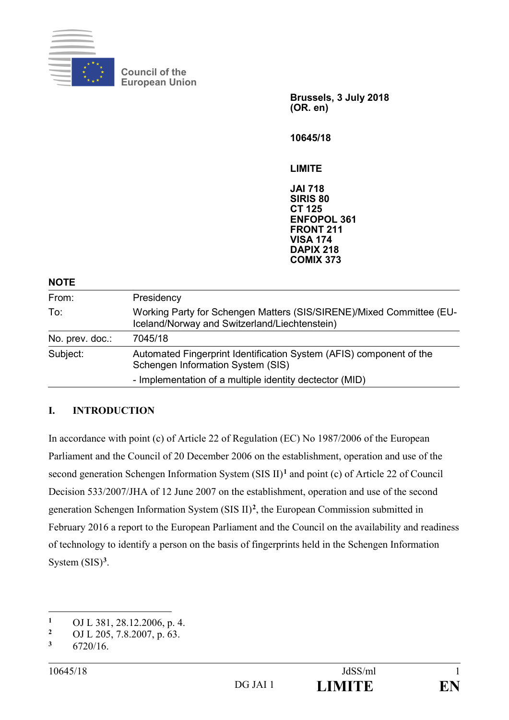

**Council of the European Union** 

> **Brussels, 3 July 2018 (OR. en)**

**10645/18** 

**LIMITE** 

**JAI 718 SIRIS 80 CT 125 ENFOPOL 361 FRONT 211 VISA 174 DAPIX 218 COMIX 373** 

**NOTE** 

| From:           | Presidency                                                                                                            |
|-----------------|-----------------------------------------------------------------------------------------------------------------------|
| To:             | Working Party for Schengen Matters (SIS/SIRENE)/Mixed Committee (EU-<br>Iceland/Norway and Switzerland/Liechtenstein) |
| No. prev. doc.: | 7045/18                                                                                                               |
| Subject:        | Automated Fingerprint Identification System (AFIS) component of the<br>Schengen Information System (SIS)              |
|                 | - Implementation of a multiple identity dectector (MID)                                                               |

#### **I. INTRODUCTION**

In accordance with point (c) of Article 22 of Regulation (EC) No 1987/2006 of the European Parliament and the Council of 20 December 2006 on the establishment, operation and use of the second generation Schengen Information System (SIS II)**<sup>1</sup>** and point (c) of Article 22 of Council Decision 533/2007/JHA of 12 June 2007 on the establishment, operation and use of the second generation Schengen Information System (SIS II)**<sup>2</sup>** , the European Commission submitted in February 2016 a report to the European Parliament and the Council on the availability and readiness of technology to identify a person on the basis of fingerprints held in the Schengen Information System (SIS)**<sup>3</sup>** .

 $\overline{a}$ 

<sup>&</sup>lt;sup>1</sup> OJ L 381, 28.12.2006, p. 4.<br><sup>2</sup> OJ L 205, 7.8.2007, p. 63.

<sup>&</sup>lt;sup>2</sup> OJ L 205, 7.8.2007, p. 63.

**<sup>3</sup>** 6720/16.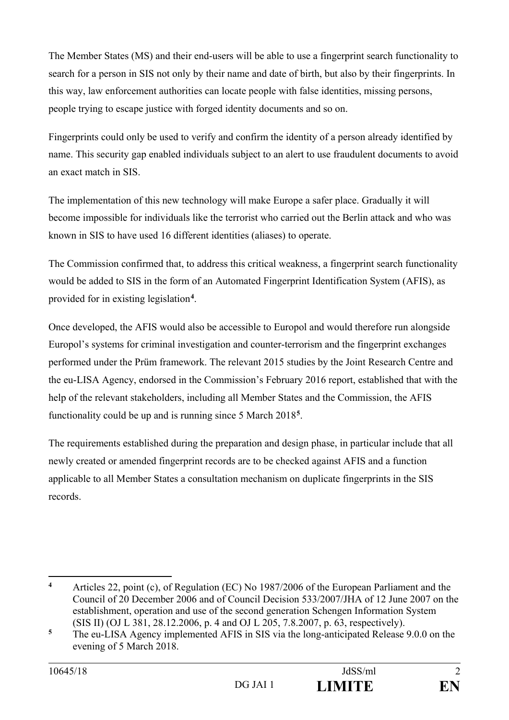The Member States (MS) and their end-users will be able to use a fingerprint search functionality to search for a person in SIS not only by their name and date of birth, but also by their fingerprints. In this way, law enforcement authorities can locate people with false identities, missing persons, people trying to escape justice with forged identity documents and so on.

Fingerprints could only be used to verify and confirm the identity of a person already identified by name. This security gap enabled individuals subject to an alert to use fraudulent documents to avoid an exact match in SIS.

The implementation of this new technology will make Europe a safer place. Gradually it will become impossible for individuals like the terrorist who carried out the Berlin attack and who was known in SIS to have used 16 different identities (aliases) to operate.

The Commission confirmed that, to address this critical weakness, a fingerprint search functionality would be added to SIS in the form of an Automated Fingerprint Identification System (AFIS), as provided for in existing legislation**<sup>4</sup>**.

Once developed, the AFIS would also be accessible to Europol and would therefore run alongside Europol's systems for criminal investigation and counter-terrorism and the fingerprint exchanges performed under the Prüm framework. The relevant 2015 studies by the Joint Research Centre and the eu-LISA Agency, endorsed in the Commission's February 2016 report, established that with the help of the relevant stakeholders, including all Member States and the Commission, the AFIS functionality could be up and is running since 5 March 2018**<sup>5</sup>** .

The requirements established during the preparation and design phase, in particular include that all newly created or amended fingerprint records are to be checked against AFIS and a function applicable to all Member States a consultation mechanism on duplicate fingerprints in the SIS records.

 $\overline{\mathbf{4}}$ **<sup>4</sup>** Articles 22, point (c), of Regulation (EC) No 1987/2006 of the European Parliament and the Council of 20 December 2006 and of Council Decision 533/2007/JHA of 12 June 2007 on the establishment, operation and use of the second generation Schengen Information System (SIS II) (OJ L 381, 28.12.2006, p. 4 and OJ L 205, 7.8.2007, p. 63, respectively).

<sup>&</sup>lt;sup>5</sup> The eu-LISA Agency implemented AFIS in SIS via the long-anticipated Release 9.0.0 on the evening of 5 March 2018.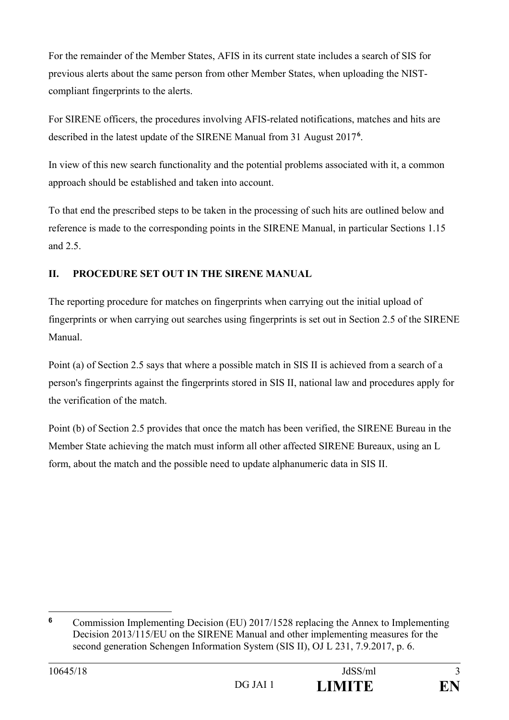For the remainder of the Member States, AFIS in its current state includes a search of SIS for previous alerts about the same person from other Member States, when uploading the NISTcompliant fingerprints to the alerts.

For SIRENE officers, the procedures involving AFIS-related notifications, matches and hits are described in the latest update of the SIRENE Manual from 31 August 2017**<sup>6</sup>** .

In view of this new search functionality and the potential problems associated with it, a common approach should be established and taken into account.

To that end the prescribed steps to be taken in the processing of such hits are outlined below and reference is made to the corresponding points in the SIRENE Manual, in particular Sections 1.15 and 2.5.

## **II. PROCEDURE SET OUT IN THE SIRENE MANUAL**

The reporting procedure for matches on fingerprints when carrying out the initial upload of fingerprints or when carrying out searches using fingerprints is set out in Section 2.5 of the SIRENE Manual.

Point (a) of Section 2.5 says that where a possible match in SIS II is achieved from a search of a person's fingerprints against the fingerprints stored in SIS II, national law and procedures apply for the verification of the match.

Point (b) of Section 2.5 provides that once the match has been verified, the SIRENE Bureau in the Member State achieving the match must inform all other affected SIRENE Bureaux, using an L form, about the match and the possible need to update alphanumeric data in SIS II.

 $\overline{a}$ 

**<sup>6</sup>** Commission Implementing Decision (EU) 2017/1528 replacing the Annex to Implementing Decision 2013/115/EU on the SIRENE Manual and other implementing measures for the second generation Schengen Information System (SIS II), OJ L 231, 7.9.2017, p. 6.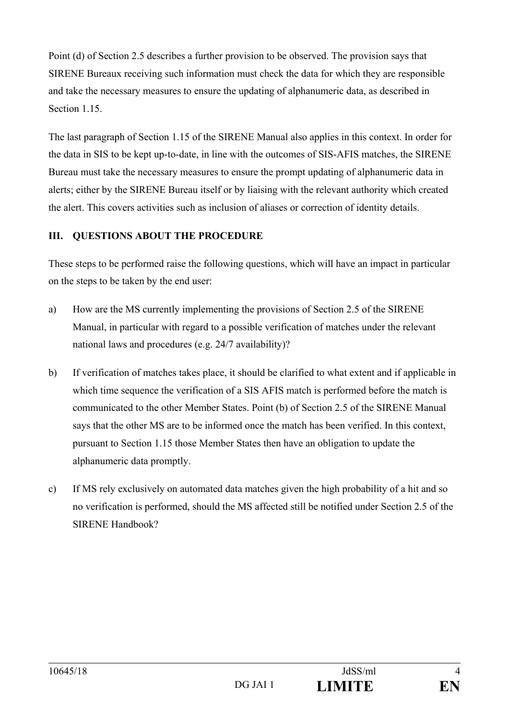Point (d) of Section 2.5 describes a further provision to be observed. The provision says that SIRENE Bureaux receiving such information must check the data for which they are responsible and take the necessary measures to ensure the updating of alphanumeric data, as described in Section 1.15.

The last paragraph of Section 1.15 of the SIRENE Manual also applies in this context. In order for the data in SIS to be kept up-to-date, in line with the outcomes of SIS-AFIS matches, the SIRENE Bureau must take the necessary measures to ensure the prompt updating of alphanumeric data in alerts; either by the SIRENE Bureau itself or by liaising with the relevant authority which created the alert. This covers activities such as inclusion of aliases or correction of identity details.

#### **III. QUESTIONS ABOUT THE PROCEDURE**

These steps to be performed raise the following questions, which will have an impact in particular on the steps to be taken by the end user:

- a) How are the MS currently implementing the provisions of Section 2.5 of the SIRENE Manual, in particular with regard to a possible verification of matches under the relevant national laws and procedures (e.g. 24/7 availability)?
- b) If verification of matches takes place, it should be clarified to what extent and if applicable in which time sequence the verification of a SIS AFIS match is performed before the match is communicated to the other Member States. Point (b) of Section 2.5 of the SIRENE Manual says that the other MS are to be informed once the match has been verified. In this context, pursuant to Section 1.15 those Member States then have an obligation to update the alphanumeric data promptly.
- c) If MS rely exclusively on automated data matches given the high probability of a hit and so no verification is performed, should the MS affected still be notified under Section 2.5 of the SIRENE Handbook?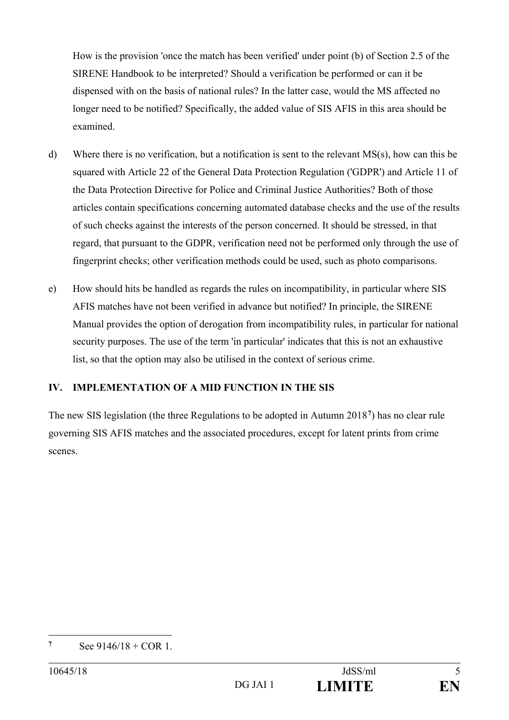How is the provision 'once the match has been verified' under point (b) of Section 2.5 of the SIRENE Handbook to be interpreted? Should a verification be performed or can it be dispensed with on the basis of national rules? In the latter case, would the MS affected no longer need to be notified? Specifically, the added value of SIS AFIS in this area should be examined.

- d) Where there is no verification, but a notification is sent to the relevant MS(s), how can this be squared with Article 22 of the General Data Protection Regulation ('GDPR') and Article 11 of the Data Protection Directive for Police and Criminal Justice Authorities? Both of those articles contain specifications concerning automated database checks and the use of the results of such checks against the interests of the person concerned. It should be stressed, in that regard, that pursuant to the GDPR, verification need not be performed only through the use of fingerprint checks; other verification methods could be used, such as photo comparisons.
- e) How should hits be handled as regards the rules on incompatibility, in particular where SIS AFIS matches have not been verified in advance but notified? In principle, the SIRENE Manual provides the option of derogation from incompatibility rules, in particular for national security purposes. The use of the term 'in particular' indicates that this is not an exhaustive list, so that the option may also be utilised in the context of serious crime.

### **IV. IMPLEMENTATION OF A MID FUNCTION IN THE SIS**

The new SIS legislation (the three Regulations to be adopted in Autumn 2018**<sup>7</sup>**) has no clear rule governing SIS AFIS matches and the associated procedures, except for latent prints from crime scenes.

 $\overline{a}$ **7** See  $9146/18 + COR$  1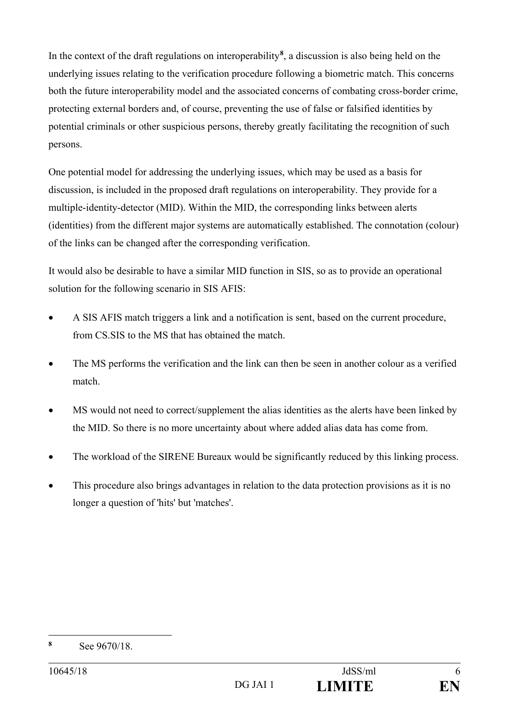In the context of the draft regulations on interoperability**<sup>8</sup>** , a discussion is also being held on the underlying issues relating to the verification procedure following a biometric match. This concerns both the future interoperability model and the associated concerns of combating cross-border crime, protecting external borders and, of course, preventing the use of false or falsified identities by potential criminals or other suspicious persons, thereby greatly facilitating the recognition of such persons.

One potential model for addressing the underlying issues, which may be used as a basis for discussion, is included in the proposed draft regulations on interoperability. They provide for a multiple-identity-detector (MID). Within the MID, the corresponding links between alerts (identities) from the different major systems are automatically established. The connotation (colour) of the links can be changed after the corresponding verification.

It would also be desirable to have a similar MID function in SIS, so as to provide an operational solution for the following scenario in SIS AFIS:

- A SIS AFIS match triggers a link and a notification is sent, based on the current procedure, from CS.SIS to the MS that has obtained the match.
- The MS performs the verification and the link can then be seen in another colour as a verified match.
- MS would not need to correct/supplement the alias identities as the alerts have been linked by the MID. So there is no more uncertainty about where added alias data has come from.
- The workload of the SIRENE Bureaux would be significantly reduced by this linking process.
- This procedure also brings advantages in relation to the data protection provisions as it is no longer a question of 'hits' but 'matches'.

 $\overline{a}$ **8** See 9670/18.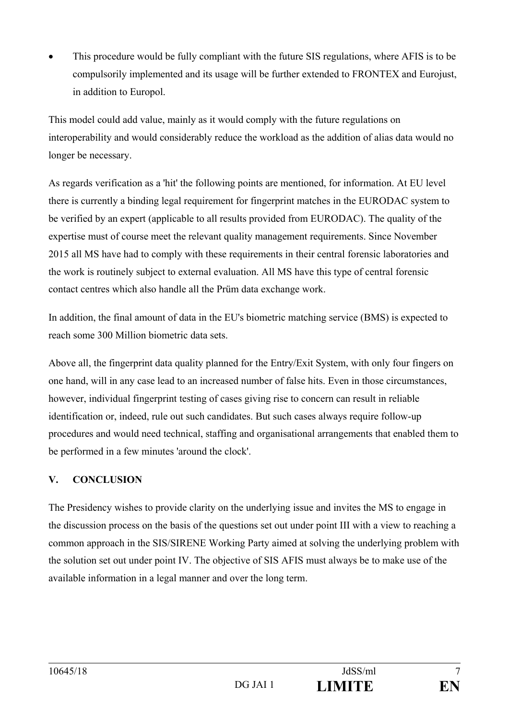• This procedure would be fully compliant with the future SIS regulations, where AFIS is to be compulsorily implemented and its usage will be further extended to FRONTEX and Eurojust, in addition to Europol.

This model could add value, mainly as it would comply with the future regulations on interoperability and would considerably reduce the workload as the addition of alias data would no longer be necessary.

As regards verification as a 'hit' the following points are mentioned, for information. At EU level there is currently a binding legal requirement for fingerprint matches in the EURODAC system to be verified by an expert (applicable to all results provided from EURODAC). The quality of the expertise must of course meet the relevant quality management requirements. Since November 2015 all MS have had to comply with these requirements in their central forensic laboratories and the work is routinely subject to external evaluation. All MS have this type of central forensic contact centres which also handle all the Prüm data exchange work.

In addition, the final amount of data in the EU's biometric matching service (BMS) is expected to reach some 300 Million biometric data sets.

Above all, the fingerprint data quality planned for the Entry/Exit System, with only four fingers on one hand, will in any case lead to an increased number of false hits. Even in those circumstances, however, individual fingerprint testing of cases giving rise to concern can result in reliable identification or, indeed, rule out such candidates. But such cases always require follow-up procedures and would need technical, staffing and organisational arrangements that enabled them to be performed in a few minutes 'around the clock'.

# **V. CONCLUSION**

The Presidency wishes to provide clarity on the underlying issue and invites the MS to engage in the discussion process on the basis of the questions set out under point III with a view to reaching a common approach in the SIS/SIRENE Working Party aimed at solving the underlying problem with the solution set out under point IV. The objective of SIS AFIS must always be to make use of the available information in a legal manner and over the long term.